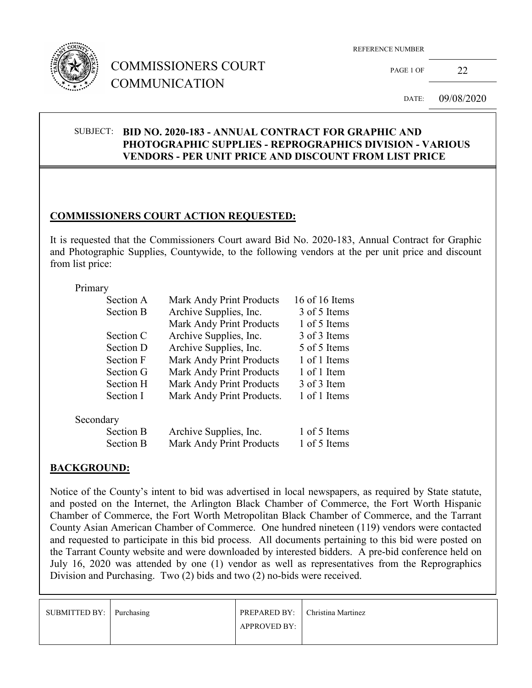

# COMMISSIONERS COURT COMMUNICATION

REFERENCE NUMBER

PAGE 1 OF 22

DATE: 09/08/2020

### SUBJECT: **BID NO. 2020-183 - ANNUAL CONTRACT FOR GRAPHIC AND PHOTOGRAPHIC SUPPLIES - REPROGRAPHICS DIVISION - VARIOUS VENDORS - PER UNIT PRICE AND DISCOUNT FROM LIST PRICE**

## **COMMISSIONERS COURT ACTION REQUESTED:**

It is requested that the Commissioners Court award Bid No. 2020-183, Annual Contract for Graphic and Photographic Supplies, Countywide, to the following vendors at the per unit price and discount from list price:

#### Primary

|           | Section A        | <b>Mark Andy Print Products</b> | 16 of 16 Items |  |  |
|-----------|------------------|---------------------------------|----------------|--|--|
|           | <b>Section B</b> | Archive Supplies, Inc.          | 3 of 5 Items   |  |  |
|           |                  | Mark Andy Print Products        | 1 of 5 Items   |  |  |
|           | Section C        | Archive Supplies, Inc.          | 3 of 3 Items   |  |  |
|           | Section D        | Archive Supplies, Inc.          | 5 of 5 Items   |  |  |
|           | <b>Section F</b> | <b>Mark Andy Print Products</b> | 1 of 1 Items   |  |  |
|           | Section G        | <b>Mark Andy Print Products</b> | 1 of 1 Item    |  |  |
|           | Section H        | <b>Mark Andy Print Products</b> | 3 of 3 Item    |  |  |
|           | Section I        | Mark Andy Print Products.       | 1 of 1 Items   |  |  |
| Secondary |                  |                                 |                |  |  |
|           | <b>Section B</b> | Archive Supplies, Inc.          | 1 of 5 Items   |  |  |
|           | <b>Section B</b> | <b>Mark Andy Print Products</b> | 1 of 5 Items   |  |  |
|           |                  |                                 |                |  |  |

### **BACKGROUND:**

Notice of the County's intent to bid was advertised in local newspapers, as required by State statute, and posted on the Internet, the Arlington Black Chamber of Commerce, the Fort Worth Hispanic Chamber of Commerce, the Fort Worth Metropolitan Black Chamber of Commerce, and the Tarrant County Asian American Chamber of Commerce. One hundred nineteen (119) vendors were contacted and requested to participate in this bid process. All documents pertaining to this bid were posted on the Tarrant County website and were downloaded by interested bidders. A pre-bid conference held on July 16, 2020 was attended by one (1) vendor as well as representatives from the Reprographics Division and Purchasing. Two (2) bids and two (2) no-bids were received.

| SUBMITTED BY: Purchasing | <b>PREPARED BY:</b> | Christina Martinez |
|--------------------------|---------------------|--------------------|
|                          | APPROVED BY:        |                    |